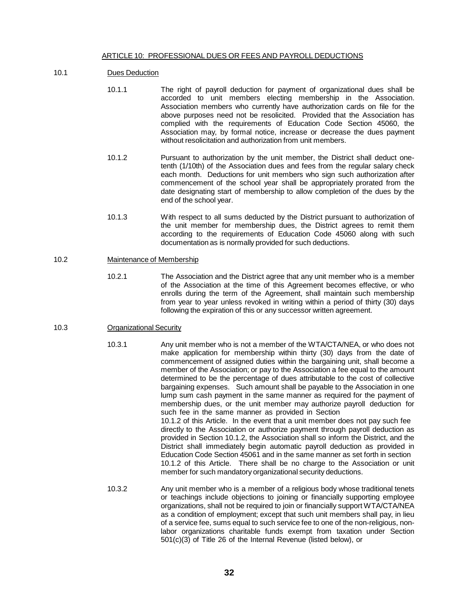### ARTICLE 10: PROFESSIONAL DUES OR FEES AND PAYROLL DEDUCTIONS

#### 10.1 Dues Deduction

- 10.1.1 The right of payroll deduction for payment of organizational dues shall be accorded to unit members electing membership in the Association. Association members who currently have authorization cards on file for the above purposes need not be resolicited. Provided that the Association has complied with the requirements of Education Code Section 45060, the Association may, by formal notice, increase or decrease the dues payment without resolicitation and authorization from unit members.
- 10.1.2 Pursuant to authorization by the unit member, the District shall deduct onetenth (1/10th) of the Association dues and fees from the regular salary check each month. Deductions for unit members who sign such authorization after commencement of the school year shall be appropriately prorated from the date designating start of membership to allow completion of the dues by the end of the school year.
- 10.1.3 With respect to all sums deducted by the District pursuant to authorization of the unit member for membership dues, the District agrees to remit them according to the requirements of Education Code 45060 along with such documentation as is normally provided for such deductions.

#### 10.2 Maintenance of Membership

10.2.1 The Association and the District agree that any unit member who is a member of the Association at the time of this Agreement becomes effective, or who enrolls during the term of the Agreement, shall maintain such membership from year to year unless revoked in writing within a period of thirty (30) days following the expiration of this or any successor written agreement.

# 10.3 Organizational Security

- 10.3.1 Any unit member who is not a member of the WTA/CTA/NEA, or who does not make application for membership within thirty (30) days from the date of commencement of assigned duties within the bargaining unit, shall become a member of the Association; or pay to the Association a fee equal to the amount determined to be the percentage of dues attributable to the cost of collective bargaining expenses. Such amount shall be payable to the Association in one lump sum cash payment in the same manner as required for the payment of membership dues, or the unit member may authorize payroll deduction for such fee in the same manner as provided in Section 10.1.2 of this Article. In the event that a unit member does not pay such fee directly to the Association or authorize payment through payroll deduction as provided in Section 10.1.2, the Association shall so inform the District, and the District shall immediately begin automatic payroll deduction as provided in Education Code Section 45061 and in the same manner as set forth in section 10.1.2 of this Article. There shall be no charge to the Association or unit member for such mandatory organizational security deductions.
- 10.3.2 Any unit member who is a member of a religious body whose traditional tenets or teachings include objections to joining or financially supporting employee organizations, shall not be required to join or financially support WTA/CTA/NEA as a condition of employment; except that such unit members shall pay, in lieu of a service fee, sums equal to such service fee to one of the non-religious, nonlabor organizations charitable funds exempt from taxation under Section 501(c)(3) of Title 26 of the Internal Revenue (listed below), or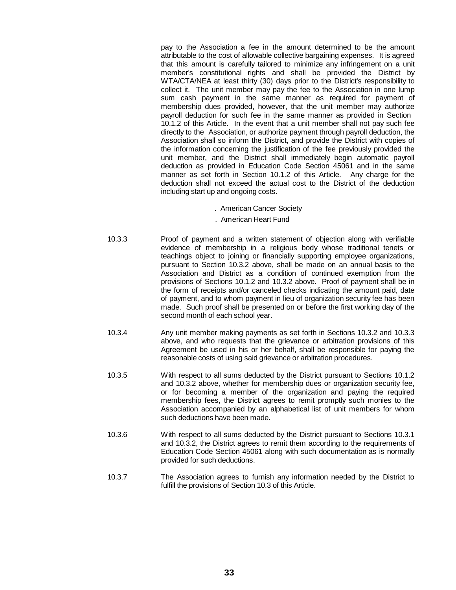pay to the Association a fee in the amount determined to be the amount attributable to the cost of allowable collective bargaining expenses. It is agreed that this amount is carefully tailored to minimize any infringement on a unit member's constitutional rights and shall be provided the District by WTA/CTA/NEA at least thirty (30) days prior to the District's responsibility to collect it. The unit member may pay the fee to the Association in one lump sum cash payment in the same manner as required for payment of membership dues provided, however, that the unit member may authorize payroll deduction for such fee in the same manner as provided in Section 10.1.2 of this Article. In the event that a unit member shall not pay such fee directly to the Association, or authorize payment through payroll deduction, the Association shall so inform the District, and provide the District with copies of the information concerning the justification of the fee previously provided the unit member, and the District shall immediately begin automatic payroll deduction as provided in Education Code Section 45061 and in the same manner as set forth in Section 10.1.2 of this Article. Any charge for the deduction shall not exceed the actual cost to the District of the deduction including start up and ongoing costs.

- . American Cancer Society
- . American Heart Fund
- 10.3.3 Proof of payment and a written statement of objection along with verifiable evidence of membership in a religious body whose traditional tenets or teachings object to joining or financially supporting employee organizations, pursuant to Section 10.3.2 above, shall be made on an annual basis to the Association and District as a condition of continued exemption from the provisions of Sections 10.1.2 and 10.3.2 above. Proof of payment shall be in the form of receipts and/or canceled checks indicating the amount paid, date of payment, and to whom payment in lieu of organization security fee has been made. Such proof shall be presented on or before the first working day of the second month of each school year.
- 10.3.4 Any unit member making payments as set forth in Sections 10.3.2 and 10.3.3 above, and who requests that the grievance or arbitration provisions of this Agreement be used in his or her behalf, shall be responsible for paying the reasonable costs of using said grievance or arbitration procedures.
- 10.3.5 With respect to all sums deducted by the District pursuant to Sections 10.1.2 and 10.3.2 above, whether for membership dues or organization security fee, or for becoming a member of the organization and paying the required membership fees, the District agrees to remit promptly such monies to the Association accompanied by an alphabetical list of unit members for whom such deductions have been made.
- 10.3.6 With respect to all sums deducted by the District pursuant to Sections 10.3.1 and 10.3.2, the District agrees to remit them according to the requirements of Education Code Section 45061 along with such documentation as is normally provided for such deductions.
- 10.3.7 The Association agrees to furnish any information needed by the District to fulfill the provisions of Section 10.3 of this Article.